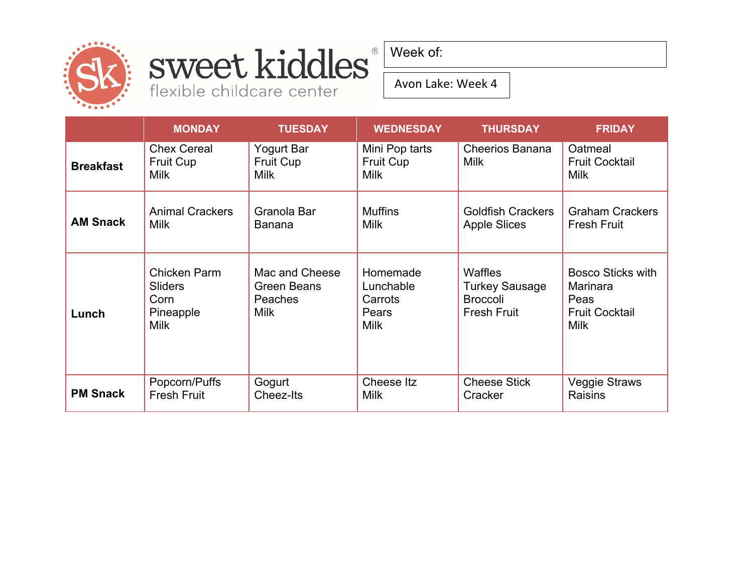

## sweet kiddles® flexible childcare center

Week of:

Avon Lake: Week 4

|                  | <b>MONDAY</b>                                                             | <b>TUESDAY</b>                                                 | <b>WEDNESDAY</b>                                         | <b>THURSDAY</b>                                                                  | <b>FRIDAY</b>                                                                        |
|------------------|---------------------------------------------------------------------------|----------------------------------------------------------------|----------------------------------------------------------|----------------------------------------------------------------------------------|--------------------------------------------------------------------------------------|
| <b>Breakfast</b> | <b>Chex Cereal</b><br>Fruit Cup<br><b>Milk</b>                            | Yogurt Bar<br>Fruit Cup<br><b>Milk</b>                         | Mini Pop tarts<br>Fruit Cup<br><b>Milk</b>               | <b>Cheerios Banana</b><br><b>Milk</b>                                            | Oatmeal<br><b>Fruit Cocktail</b><br><b>Milk</b>                                      |
| <b>AM Snack</b>  | <b>Animal Crackers</b><br><b>Milk</b>                                     | Granola Bar<br><b>Banana</b>                                   | <b>Muffins</b><br><b>Milk</b>                            | <b>Goldfish Crackers</b><br><b>Apple Slices</b>                                  | <b>Graham Crackers</b><br><b>Fresh Fruit</b>                                         |
| Lunch            | <b>Chicken Parm</b><br><b>Sliders</b><br>Corn<br>Pineapple<br><b>Milk</b> | Mac and Cheese<br>Green Beans<br><b>Peaches</b><br><b>Milk</b> | Homemade<br>Lunchable<br>Carrots<br>Pears<br><b>Milk</b> | <b>Waffles</b><br><b>Turkey Sausage</b><br><b>Broccoli</b><br><b>Fresh Fruit</b> | <b>Bosco Sticks with</b><br>Marinara<br>Peas<br><b>Fruit Cocktail</b><br><b>Milk</b> |
| <b>PM Snack</b>  | Popcorn/Puffs<br><b>Fresh Fruit</b>                                       | Gogurt<br>Cheez-Its                                            | Cheese Itz<br><b>Milk</b>                                | <b>Cheese Stick</b><br>Cracker                                                   | <b>Veggie Straws</b><br><b>Raisins</b>                                               |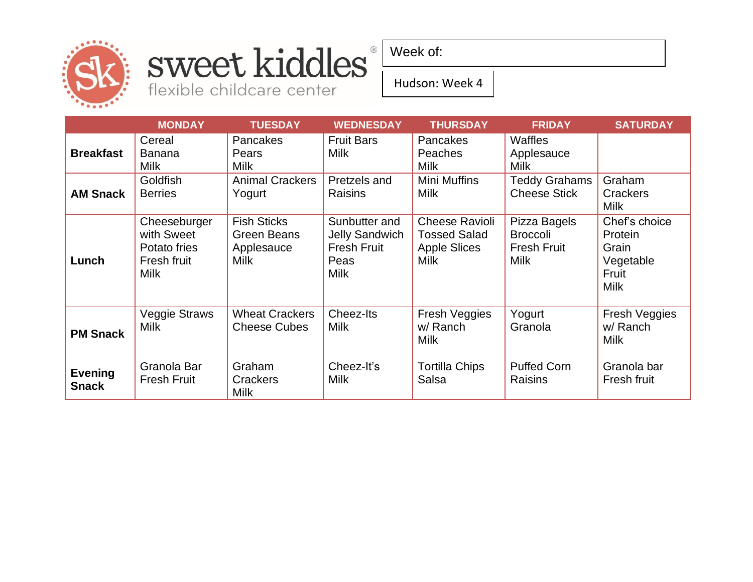

## sweet kiddles® flexible childcare center

Week of:

#### Hudson: Week 4

|                                | <b>MONDAY</b>                                                            | <b>TUESDAY</b>                                                 | <b>WEDNESDAY</b>                                                             | <b>THURSDAY</b>                                                                    | <b>FRIDAY</b>                                                        | <b>SATURDAY</b>                                                        |
|--------------------------------|--------------------------------------------------------------------------|----------------------------------------------------------------|------------------------------------------------------------------------------|------------------------------------------------------------------------------------|----------------------------------------------------------------------|------------------------------------------------------------------------|
| <b>Breakfast</b>               | Cereal<br><b>Banana</b><br><b>Milk</b>                                   | Pancakes<br>Pears<br><b>Milk</b>                               | <b>Fruit Bars</b><br><b>Milk</b>                                             | <b>Pancakes</b><br>Peaches<br><b>Milk</b>                                          | Waffles<br>Applesauce<br>Milk                                        |                                                                        |
| <b>AM Snack</b>                | Goldfish<br><b>Berries</b>                                               | <b>Animal Crackers</b><br>Yogurt                               | Pretzels and<br>Raisins                                                      | <b>Mini Muffins</b><br><b>Milk</b>                                                 | <b>Teddy Grahams</b><br><b>Cheese Stick</b>                          | Graham<br>Crackers<br><b>Milk</b>                                      |
| Lunch                          | Cheeseburger<br>with Sweet<br>Potato fries<br>Fresh fruit<br><b>Milk</b> | <b>Fish Sticks</b><br>Green Beans<br>Applesauce<br><b>Milk</b> | Sunbutter and<br><b>Jelly Sandwich</b><br><b>Fresh Fruit</b><br>Peas<br>Milk | <b>Cheese Ravioli</b><br><b>Tossed Salad</b><br><b>Apple Slices</b><br><b>Milk</b> | Pizza Bagels<br><b>Broccoli</b><br><b>Fresh Fruit</b><br><b>Milk</b> | Chef's choice<br>Protein<br>Grain<br>Vegetable<br>Fruit<br><b>Milk</b> |
| <b>PM Snack</b>                | <b>Veggie Straws</b><br><b>Milk</b>                                      | <b>Wheat Crackers</b><br><b>Cheese Cubes</b>                   | Cheez-Its<br><b>Milk</b>                                                     | Fresh Veggies<br>w/ Ranch<br><b>Milk</b>                                           | Yogurt<br>Granola                                                    | <b>Fresh Veggies</b><br>w/ Ranch<br><b>Milk</b>                        |
| <b>Evening</b><br><b>Snack</b> | Granola Bar<br><b>Fresh Fruit</b>                                        | Graham<br>Crackers<br><b>Milk</b>                              | Cheez-It's<br><b>Milk</b>                                                    | <b>Tortilla Chips</b><br>Salsa                                                     | <b>Puffed Corn</b><br>Raisins                                        | Granola bar<br>Fresh fruit                                             |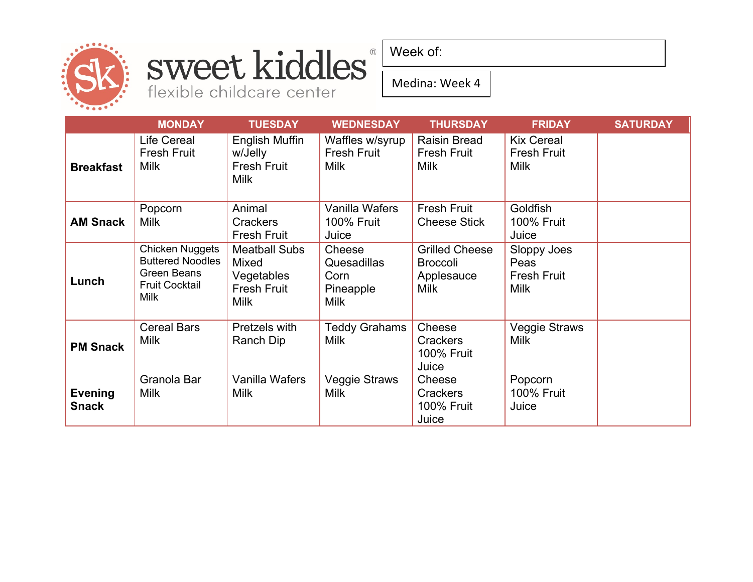

# sweet kiddles®

flexible childcare center

Week of:

Medina: Week 4

|                                | <b>MONDAY</b>                                                                                            | <b>TUESDAY</b>                                                                   | <b>WEDNESDAY</b>                                          | <b>THURSDAY</b>                                                       | <b>FRIDAY</b>                                     | <b>SATURDAY</b> |
|--------------------------------|----------------------------------------------------------------------------------------------------------|----------------------------------------------------------------------------------|-----------------------------------------------------------|-----------------------------------------------------------------------|---------------------------------------------------|-----------------|
| <b>Breakfast</b>               | Life Cereal<br><b>Fresh Fruit</b><br><b>Milk</b>                                                         | English Muffin<br>w/Jelly<br><b>Fresh Fruit</b><br><b>Milk</b>                   | Waffles w/syrup<br><b>Fresh Fruit</b><br><b>Milk</b>      | <b>Raisin Bread</b><br><b>Fresh Fruit</b><br><b>Milk</b>              | <b>Kix Cereal</b><br><b>Fresh Fruit</b><br>Milk   |                 |
| <b>AM Snack</b>                | Popcorn<br><b>Milk</b>                                                                                   | Animal<br><b>Crackers</b><br><b>Fresh Fruit</b>                                  | Vanilla Wafers<br><b>100% Fruit</b><br>Juice              | <b>Fresh Fruit</b><br><b>Cheese Stick</b>                             | Goldfish<br><b>100% Fruit</b><br>Juice            |                 |
| Lunch                          | <b>Chicken Nuggets</b><br><b>Buttered Noodles</b><br>Green Beans<br><b>Fruit Cocktail</b><br><b>Milk</b> | <b>Meatball Subs</b><br>Mixed<br>Vegetables<br><b>Fresh Fruit</b><br><b>Milk</b> | Cheese<br>Quesadillas<br>Corn<br>Pineapple<br><b>Milk</b> | <b>Grilled Cheese</b><br><b>Broccoli</b><br>Applesauce<br><b>Milk</b> | Sloppy Joes<br>Peas<br><b>Fresh Fruit</b><br>Milk |                 |
| <b>PM Snack</b>                | <b>Cereal Bars</b><br><b>Milk</b>                                                                        | Pretzels with<br>Ranch Dip                                                       | <b>Teddy Grahams</b><br><b>Milk</b>                       | Cheese<br><b>Crackers</b><br>100% Fruit<br>Juice                      | <b>Veggie Straws</b><br><b>Milk</b>               |                 |
| <b>Evening</b><br><b>Snack</b> | Granola Bar<br><b>Milk</b>                                                                               | Vanilla Wafers<br><b>Milk</b>                                                    | Veggie Straws<br><b>Milk</b>                              | Cheese<br><b>Crackers</b><br><b>100% Fruit</b><br>Juice               | Popcorn<br><b>100% Fruit</b><br>Juice             |                 |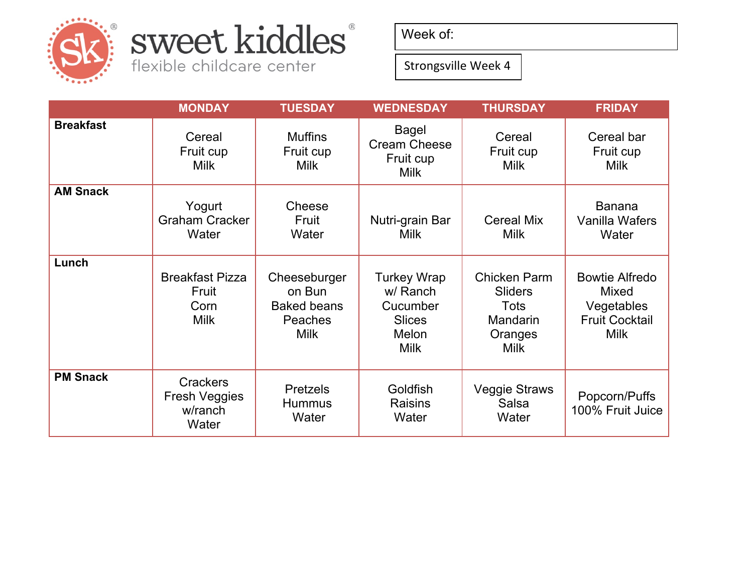

## sweet kiddles®

flexible childcare center

Week of:

Strongsville Week 4

|                  | <b>MONDAY</b>                                               | <b>TUESDAY</b>                                                         | <b>WEDNESDAY</b>                                                                    | <b>THURSDAY</b>                                                                     | <b>FRIDAY</b>                                                                               |
|------------------|-------------------------------------------------------------|------------------------------------------------------------------------|-------------------------------------------------------------------------------------|-------------------------------------------------------------------------------------|---------------------------------------------------------------------------------------------|
| <b>Breakfast</b> | Cereal<br>Fruit cup<br><b>Milk</b>                          | <b>Muffins</b><br>Fruit cup<br><b>Milk</b>                             | Bagel<br><b>Cream Cheese</b><br>Fruit cup<br><b>Milk</b>                            | Cereal<br>Fruit cup<br><b>Milk</b>                                                  | Cereal bar<br>Fruit cup<br><b>Milk</b>                                                      |
| <b>AM Snack</b>  | Yogurt<br><b>Graham Cracker</b><br>Water                    | Cheese<br>Fruit<br>Water                                               | Nutri-grain Bar<br><b>Milk</b>                                                      | <b>Cereal Mix</b><br><b>Milk</b>                                                    | <b>Banana</b><br>Vanilla Wafers<br>Water                                                    |
| Lunch            | <b>Breakfast Pizza</b><br>Fruit<br>Corn<br><b>Milk</b>      | Cheeseburger<br>on Bun<br><b>Baked beans</b><br>Peaches<br><b>Milk</b> | <b>Turkey Wrap</b><br>w/ Ranch<br>Cucumber<br><b>Slices</b><br>Melon<br><b>Milk</b> | <b>Chicken Parm</b><br><b>Sliders</b><br>Tots<br>Mandarin<br>Oranges<br><b>Milk</b> | <b>Bowtie Alfredo</b><br><b>Mixed</b><br>Vegetables<br><b>Fruit Cocktail</b><br><b>Milk</b> |
| <b>PM Snack</b>  | <b>Crackers</b><br><b>Fresh Veggies</b><br>w/ranch<br>Water | <b>Pretzels</b><br><b>Hummus</b><br>Water                              | Goldfish<br><b>Raisins</b><br>Water                                                 | <b>Veggie Straws</b><br>Salsa<br>Water                                              | Popcorn/Puffs<br>100% Fruit Juice                                                           |